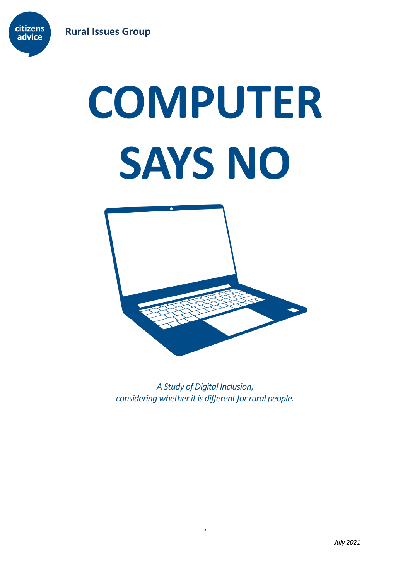

# **COMPUTER SAYS NO**



*A Study of Digital Inclusion, considering whether it is different for rural people.*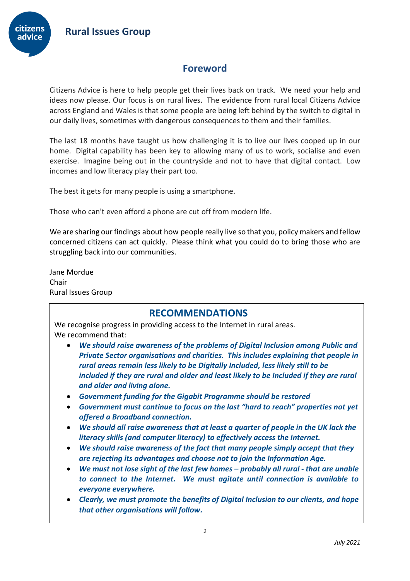

# **Foreword**

Citizens Advice is here to help people get their lives back on track. We need your help and ideas now please. Our focus is on rural lives. The evidence from rural local Citizens Advice across England and Wales is that some people are being left behind by the switch to digital in our daily lives, sometimes with dangerous consequences to them and their families.

The last 18 months have taught us how challenging it is to live our lives cooped up in our home. Digital capability has been key to allowing many of us to work, socialise and even exercise. Imagine being out in the countryside and not to have that digital contact. Low incomes and low literacy play their part too.

The best it gets for many people is using a smartphone.

Those who can't even afford a phone are cut off from modern life.

We are sharing our findings about how people really live so that you, policy makers and fellow concerned citizens can act quickly. Please think what you could do to bring those who are struggling back into our communities.

Jane Mordue Chair Rural Issues Group

## **RECOMMENDATIONS**

We recognise progress in providing access to the Internet in rural areas. We recommend that:

- *We should raise awareness of the problems of Digital Inclusion among Public and Private Sector organisations and charities. This includes explaining that people in rural areas remain less likely to be Digitally Included, less likely still to be included if they are rural and older and least likely to be Included if they are rural and older and living alone.*
- *Government funding for the Gigabit Programme should be restored*
- *Government must continue to focus on the last "hard to reach" properties not yet offered a Broadband connection.*
- *We should all raise awareness that at least a quarter of people in the UK lack the literacy skills (and computer literacy) to effectively access the Internet.*
- *We should raise awareness of the fact that many people simply accept that they are rejecting its advantages and choose not to join the Information Age.*
- *We must not lose sight of the last few homes – probably all rural - that are unable to connect to the Internet. We must agitate until connection is available to everyone everywhere.*
- *Clearly, we must promote the benefits of Digital Inclusion to our clients, and hope that other organisations will follow.*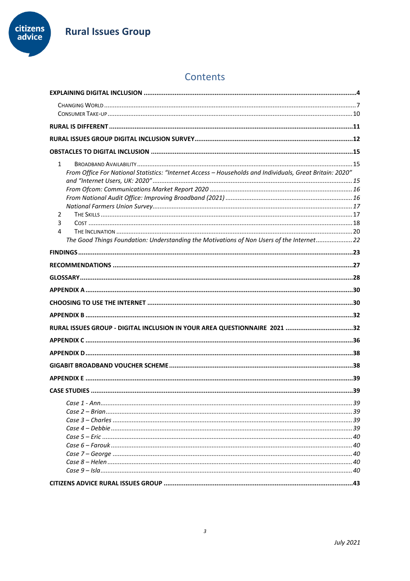

# Contents

| $\mathbf{1}$<br>From Office For National Statistics: "Internet Access - Households and Individuals, Great Britain: 2020"<br>2<br>3<br>4<br>The Good Things Foundation: Understanding the Motivations of Non Users of the Internet22 |  |
|-------------------------------------------------------------------------------------------------------------------------------------------------------------------------------------------------------------------------------------|--|
|                                                                                                                                                                                                                                     |  |
|                                                                                                                                                                                                                                     |  |
|                                                                                                                                                                                                                                     |  |
|                                                                                                                                                                                                                                     |  |
|                                                                                                                                                                                                                                     |  |
|                                                                                                                                                                                                                                     |  |
| RURAL ISSUES GROUP - DIGITAL INCLUSION IN YOUR AREA QUESTIONNAIRE 2021 32                                                                                                                                                           |  |
|                                                                                                                                                                                                                                     |  |
|                                                                                                                                                                                                                                     |  |
|                                                                                                                                                                                                                                     |  |
|                                                                                                                                                                                                                                     |  |
|                                                                                                                                                                                                                                     |  |
|                                                                                                                                                                                                                                     |  |
|                                                                                                                                                                                                                                     |  |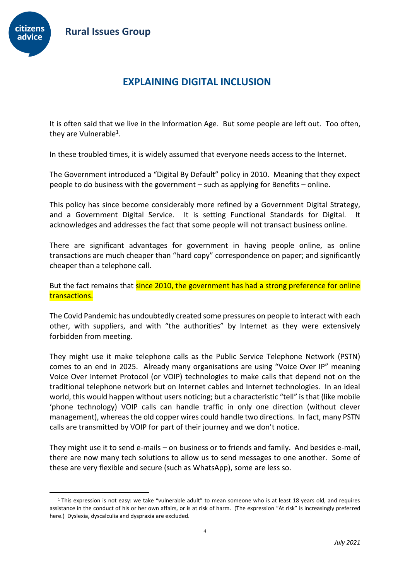

# **EXPLAINING DIGITAL INCLUSION**

<span id="page-3-0"></span>It is often said that we live in the Information Age. But some people are left out. Too often, they are Vulnerable<sup>1</sup>.

In these troubled times, it is widely assumed that everyone needs access to the Internet.

The Government introduced a "Digital By Default" policy in 2010. Meaning that they expect people to do business with the government – such as applying for Benefits – online.

This policy has since become considerably more refined by a Government Digital Strategy, and a Government Digital Service. It is setting Functional Standards for Digital. It acknowledges and addresses the fact that some people will not transact business online.

There are significant advantages for government in having people online, as online transactions are much cheaper than "hard copy" correspondence on paper; and significantly cheaper than a telephone call.

But the fact remains that since 2010, the government has had a strong preference for online transactions.

The Covid Pandemic has undoubtedly created some pressures on people to interact with each other, with suppliers, and with "the authorities" by Internet as they were extensively forbidden from meeting.

They might use it make telephone calls as the Public Service Telephone Network (PSTN) comes to an end in 2025. Already many organisations are using "Voice Over IP" meaning Voice Over Internet Protocol (or VOIP) technologies to make calls that depend not on the traditional telephone network but on Internet cables and Internet technologies. In an ideal world, this would happen without users noticing; but a characteristic "tell" is that (like mobile 'phone technology) VOIP calls can handle traffic in only one direction (without clever management), whereas the old copper wires could handle two directions. In fact, many PSTN calls are transmitted by VOIP for part of their journey and we don't notice.

They might use it to send e-mails – on business or to friends and family. And besides e-mail, there are now many tech solutions to allow us to send messages to one another. Some of these are very flexible and secure (such as WhatsApp), some are less so.

<sup>&</sup>lt;sup>1</sup> This expression is not easy: we take "vulnerable adult" to mean someone who is at least 18 years old, and requires assistance in the conduct of his or her own affairs, or is at risk of harm. (The expression "At risk" is increasingly preferred here.) Dyslexia, dyscalculia and dyspraxia are excluded.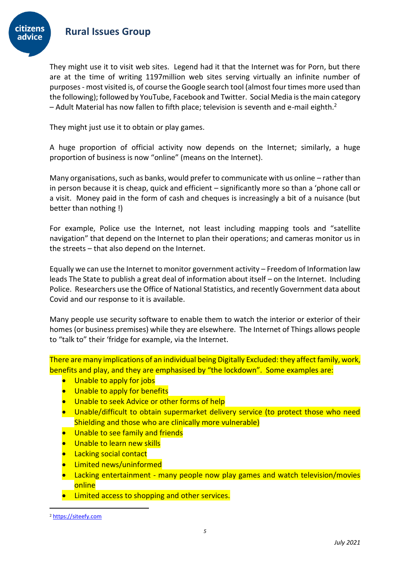

They might use it to visit web sites. Legend had it that the Internet was for Porn, but there are at the time of writing 1197million web sites serving virtually an infinite number of purposes - most visited is, of course the Google search tool (almost four times more used than the following); followed by YouTube, Facebook and Twitter. Social Media is the main category – Adult Material has now fallen to fifth place; television is seventh and e-mail eighth.<sup>2</sup>

They might just use it to obtain or play games.

A huge proportion of official activity now depends on the Internet; similarly, a huge proportion of business is now "online" (means on the Internet).

Many organisations, such as banks, would prefer to communicate with us online – rather than in person because it is cheap, quick and efficient – significantly more so than a 'phone call or a visit. Money paid in the form of cash and cheques is increasingly a bit of a nuisance (but better than nothing !)

For example, Police use the Internet, not least including mapping tools and "satellite navigation" that depend on the Internet to plan their operations; and cameras monitor us in the streets – that also depend on the Internet.

Equally we can use the Internet to monitor government activity – Freedom of Information law leads The State to publish a great deal of information about itself – on the Internet. Including Police. Researchers use the Office of National Statistics, and recently Government data about Covid and our response to it is available.

Many people use security software to enable them to watch the interior or exterior of their homes (or business premises) while they are elsewhere. The Internet of Things allows people to "talk to" their 'fridge for example, via the Internet.

There are many implications of an individual being Digitally Excluded: they affect family, work, benefits and play, and they are emphasised by "the lockdown". Some examples are:

- Unable to apply for jobs
- Unable to apply for benefits
- Unable to seek Advice or other forms of help
- Unable/difficult to obtain supermarket delivery service (to protect those who need Shielding and those who are clinically more vulnerable)
- **•** Unable to see family and friends
- **•** Unable to learn new skills
- **•** Lacking social contact
- Limited news/uninformed
- Lacking entertainment many people now play games and watch television/movies online
- **•** Limited access to shopping and other services.

<sup>2</sup> [https://siteefy.com](https://siteefy.com/)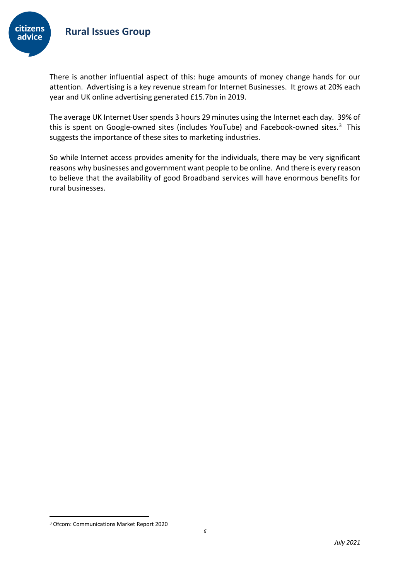

There is another influential aspect of this: huge amounts of money change hands for our attention. Advertising is a key revenue stream for Internet Businesses. It grows at 20% each year and UK online advertising generated £15.7bn in 2019.

The average UK Internet User spends 3 hours 29 minutes using the Internet each day. 39% of this is spent on Google-owned sites (includes YouTube) and Facebook-owned sites.<sup>3</sup> This suggests the importance of these sites to marketing industries.

So while Internet access provides amenity for the individuals, there may be very significant reasons why businesses and government want people to be online. And there is every reason to believe that the availability of good Broadband services will have enormous benefits for rural businesses.

<sup>3</sup> Ofcom: Communications Market Report 2020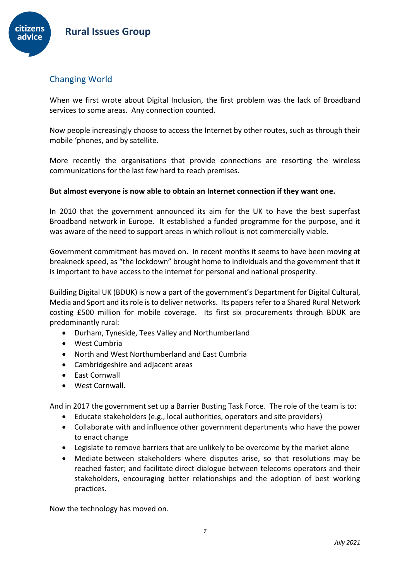

## <span id="page-6-0"></span>Changing World

When we first wrote about Digital Inclusion, the first problem was the lack of Broadband services to some areas. Any connection counted.

Now people increasingly choose to access the Internet by other routes, such as through their mobile 'phones, and by satellite.

More recently the organisations that provide connections are resorting the wireless communications for the last few hard to reach premises.

#### **But almost everyone is now able to obtain an Internet connection if they want one.**

In 2010 that the government announced its aim for the UK to have the best superfast Broadband network in Europe. It established a funded programme for the purpose, and it was aware of the need to support areas in which rollout is not commercially viable.

Government commitment has moved on. In recent months it seems to have been moving at breakneck speed, as "the lockdown" brought home to individuals and the government that it is important to have access to the internet for personal and national prosperity.

Building Digital UK (BDUK) is now a part of the government's Department for Digital Cultural, Media and Sport and its role is to deliver networks. Its papers refer to a Shared Rural Network costing £500 million for mobile coverage. Its first six procurements through BDUK are predominantly rural:

- Durham, Tyneside, Tees Valley and Northumberland
- West Cumbria
- North and West Northumberland and East Cumbria
- Cambridgeshire and adjacent areas
- East Cornwall
- West Cornwall.

And in 2017 the government set up a Barrier Busting Task Force. The role of the team is to:

- Educate stakeholders (e.g., local authorities, operators and site providers)
- Collaborate with and influence other government departments who have the power to enact change
- Legislate to remove barriers that are unlikely to be overcome by the market alone
- Mediate between stakeholders where disputes arise, so that resolutions may be reached faster; and facilitate direct dialogue between telecoms operators and their stakeholders, encouraging better relationships and the adoption of best working practices.

Now the technology has moved on.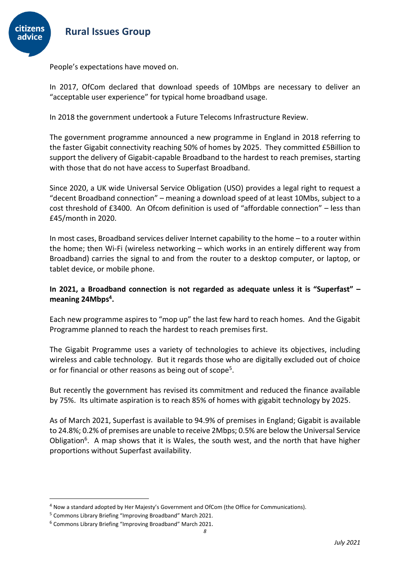

People's expectations have moved on.

In 2017, OfCom declared that download speeds of 10Mbps are necessary to deliver an "acceptable user experience" for typical home broadband usage.

In 2018 the government undertook a Future Telecoms Infrastructure Review.

The government programme announced a new programme in England in 2018 referring to the faster Gigabit connectivity reaching 50% of homes by 2025. They committed £5Billion to support the delivery of Gigabit-capable Broadband to the hardest to reach premises, starting with those that do not have access to Superfast Broadband.

Since 2020, a UK wide Universal Service Obligation (USO) provides a legal right to request a "decent Broadband connection" – meaning a download speed of at least 10Mbs, subject to a cost threshold of £3400. An Ofcom definition is used of "affordable connection" – less than £45/month in 2020.

In most cases, Broadband services deliver Internet capability to the home – to a router within the home; then Wi-Fi (wireless networking – which works in an entirely different way from Broadband) carries the signal to and from the router to a desktop computer, or laptop, or tablet device, or mobile phone.

#### **In 2021, a Broadband connection is not regarded as adequate unless it is "Superfast" – meaning 24Mbps<sup>4</sup> .**

Each new programme aspires to "mop up" the last few hard to reach homes. And the Gigabit Programme planned to reach the hardest to reach premises first.

The Gigabit Programme uses a variety of technologies to achieve its objectives, including wireless and cable technology. But it regards those who are digitally excluded out of choice or for financial or other reasons as being out of scope<sup>5</sup>.

But recently the government has revised its commitment and reduced the finance available by 75%. Its ultimate aspiration is to reach 85% of homes with gigabit technology by 2025.

As of March 2021, Superfast is available to 94.9% of premises in England; Gigabit is available to 24.8%; 0.2% of premises are unable to receive 2Mbps; 0.5% are below the Universal Service Obligation<sup>6</sup>. A map shows that it is Wales, the south west, and the north that have higher proportions without Superfast availability.

<sup>4</sup> Now a standard adopted by Her Majesty's Government and OfCom (the Office for Communications).

<sup>5</sup> Commons Library Briefing "Improving Broadband" March 2021.

<sup>6</sup> Commons Library Briefing "Improving Broadband" March 2021.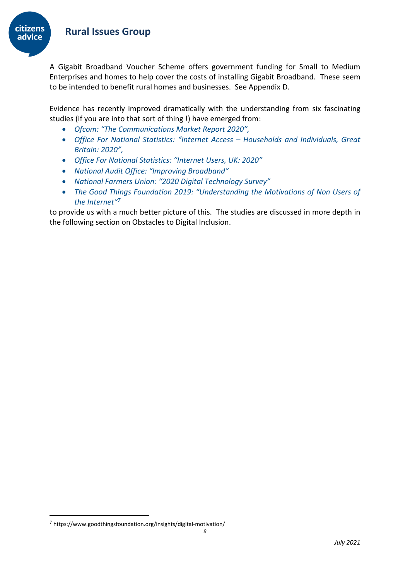

A Gigabit Broadband Voucher Scheme offers government funding for Small to Medium Enterprises and homes to help cover the costs of installing Gigabit Broadband. These seem to be intended to benefit rural homes and businesses. See Appendix D.

Evidence has recently improved dramatically with the understanding from six fascinating studies (if you are into that sort of thing !) have emerged from:

- *Ofcom: "The Communications Market Report 2020",*
- *Office For National Statistics: "Internet Access – Households and Individuals, Great Britain: 2020",*
- *Office For National Statistics: "Internet Users, UK: 2020"*
- *National Audit Office: "Improving Broadband"*
- *National Farmers Union: "2020 Digital Technology Survey"*
- *The Good Things Foundation 2019: "Understanding the Motivations of Non Users of the Internet" 7*

to provide us with a much better picture of this. The studies are discussed in more depth in the following section on Obstacles to Digital Inclusion.

<sup>7</sup> https://www.goodthingsfoundation.org/insights/digital-motivation/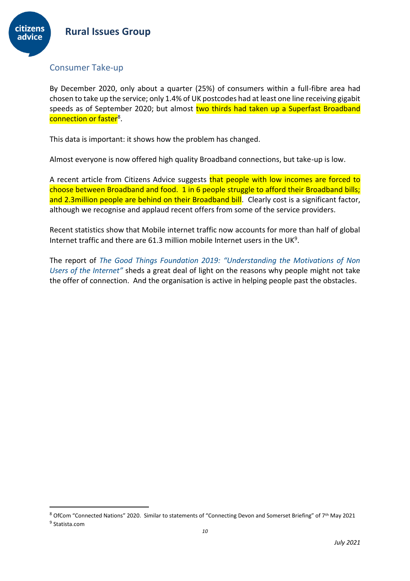



## <span id="page-9-0"></span>Consumer Take-up

By December 2020, only about a quarter (25%) of consumers within a full-fibre area had chosen to take up the service; only 1.4% of UK postcodes had at least one line receiving gigabit speeds as of September 2020; but almost two thirds had taken up a Superfast Broadband <mark>connection or faster</mark><sup>8</sup>.

This data is important: it shows how the problem has changed.

Almost everyone is now offered high quality Broadband connections, but take-up is low.

A recent article from Citizens Advice suggests that people with low incomes are forced to choose between Broadband and food. 1 in 6 people struggle to afford their Broadband bills; and 2.3million people are behind on their Broadband bill. Clearly cost is a significant factor, although we recognise and applaud recent offers from some of the service providers.

Recent statistics show that Mobile internet traffic now accounts for more than half of global Internet traffic and there are 61.3 million mobile Internet users in the UK<sup>9</sup>.

The report of *The Good Things Foundation 2019: "Understanding the Motivations of Non Users of the Internet"* sheds a great deal of light on the reasons why people might not take the offer of connection. And the organisation is active in helping people past the obstacles.

<sup>8</sup> OfCom "Connected Nations" 2020. Similar to statements of "Connecting Devon and Somerset Briefing" of 7<sup>th</sup> May 2021 <sup>9</sup> Statista.com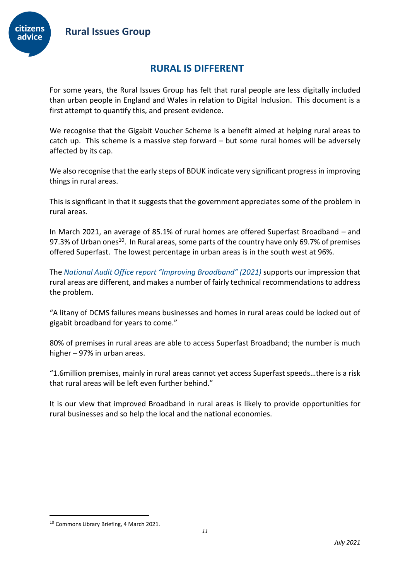

# **RURAL IS DIFFERENT**

<span id="page-10-0"></span>For some years, the Rural Issues Group has felt that rural people are less digitally included than urban people in England and Wales in relation to Digital Inclusion. This document is a first attempt to quantify this, and present evidence.

We recognise that the Gigabit Voucher Scheme is a benefit aimed at helping rural areas to catch up. This scheme is a massive step forward – but some rural homes will be adversely affected by its cap.

We also recognise that the early steps of BDUK indicate very significant progress in improving things in rural areas.

This is significant in that it suggests that the government appreciates some of the problem in rural areas.

In March 2021, an average of 85.1% of rural homes are offered Superfast Broadband – and 97.3% of Urban ones<sup>10</sup>. In Rural areas, some parts of the country have only 69.7% of premises offered Superfast. The lowest percentage in urban areas is in the south west at 96%.

The *National Audit Office report "Improving Broadband" (2021)* supports our impression that rural areas are different, and makes a number of fairly technical recommendations to address the problem.

"A litany of DCMS failures means businesses and homes in rural areas could be locked out of gigabit broadband for years to come."

80% of premises in rural areas are able to access Superfast Broadband; the number is much higher – 97% in urban areas.

"1.6million premises, mainly in rural areas cannot yet access Superfast speeds…there is a risk that rural areas will be left even further behind."

It is our view that improved Broadband in rural areas is likely to provide opportunities for rural businesses and so help the local and the national economies.

<sup>10</sup> Commons Library Briefing, 4 March 2021.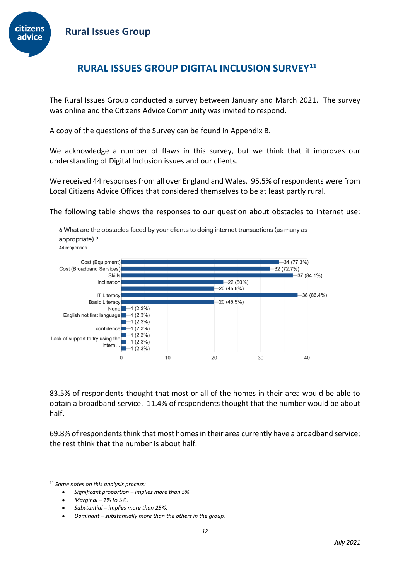

# <span id="page-11-0"></span>**RURAL ISSUES GROUP DIGITAL INCLUSION SURVEY<sup>11</sup>**

The Rural Issues Group conducted a survey between January and March 2021. The survey was online and the Citizens Advice Community was invited to respond.

A copy of the questions of the Survey can be found in Appendix B.

We acknowledge a number of flaws in this survey, but we think that it improves our understanding of Digital Inclusion issues and our clients.

We received 44 responses from all over England and Wales. 95.5% of respondents were from Local Citizens Advice Offices that considered themselves to be at least partly rural.

The following table shows the responses to our question about obstacles to Internet use:

Cost (Equipment)  $-34(77.3%)$ Cost (Broadband Services)  $-32(72.7%)$ Skills  $-37(84.1%)$ Inclination  $-22(50%)$  $-20(45.5%)$ **IT Literacy**  $-38(86.4%)$ **Basic Literacy**  $-20(45.5%)$  $-1(2.3%)$ Nonel English not first language -1 (2.3%)  $-1(2.3%)$ confidence  $-1$  (2.3%) Lack of support to try using the  $-1$  (2.3%) intern...  $-1$  (2.3%)<br>-1 (2.3%)  $\mathbf 0$ 20  $10$ 30 40

6 What are the obstacles faced by your clients to doing internet transactions (as many as

83.5% of respondents thought that most or all of the homes in their area would be able to obtain a broadband service. 11.4% of respondents thought that the number would be about half.

69.8% of respondents think that most homes in their area currently have a broadband service; the rest think that the number is about half.

appropriate)? 44 responses

<sup>11</sup> *Some notes on this analysis process:*

<sup>•</sup> *Significant proportion – implies more than 5%.*

<sup>•</sup> *Marginal – 1% to 5%.*

<sup>•</sup> *Substantial – implies more than 25%.* 

<sup>•</sup> *Dominant – substantially more than the others in the group.*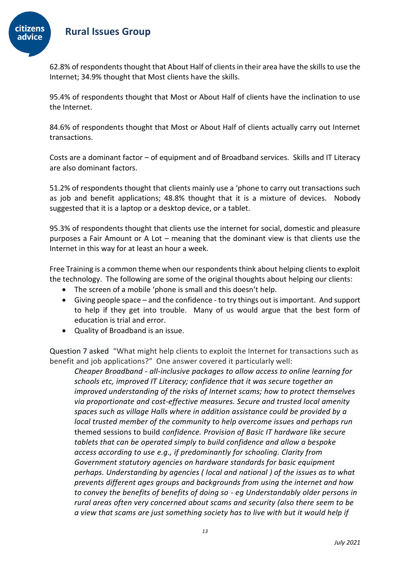

62.8% of respondents thought that About Half of clients in their area have the skills to use the Internet; 34.9% thought that Most clients have the skills.

95.4% of respondents thought that Most or About Half of clients have the inclination to use the Internet.

84.6% of respondents thought that Most or About Half of clients actually carry out Internet transactions.

Costs are a dominant factor – of equipment and of Broadband services. Skills and IT Literacy are also dominant factors.

51.2% of respondents thought that clients mainly use a 'phone to carry out transactions such as job and benefit applications; 48.8% thought that it is a mixture of devices. Nobody suggested that it is a laptop or a desktop device, or a tablet.

95.3% of respondents thought that clients use the internet for social, domestic and pleasure purposes a Fair Amount or A Lot – meaning that the dominant view is that clients use the Internet in this way for at least an hour a week.

Free Training is a common theme when our respondents think about helping clients to exploit the technology. The following are some of the original thoughts about helping our clients:

- The screen of a mobile 'phone is small and this doesn't help.
- Giving people space and the confidence to try things out is important. And support to help if they get into trouble. Many of us would argue that the best form of education is trial and error.
- Quality of Broadband is an issue.

Question 7 asked "What might help clients to exploit the Internet for transactions such as benefit and job applications?" One answer covered it particularly well:

*Cheaper Broadband - all-inclusive packages to allow access to online learning for schools etc, improved IT Literacy; confidence that it was secure together an improved understanding of the risks of Internet scams; how to protect themselves via proportionate and cost-effective measures. Secure and trusted local amenity spaces such as village Halls where in addition assistance could be provided by a local trusted member of the community to help overcome issues and perhaps run* themed sessions to build *confidence. Provision of Basic IT hardware like secure tablets that can be operated simply to build confidence and allow a bespoke access according to use e.g., if predominantly for schooling. Clarity from Government statutory agencies on hardware standards for basic equipment perhaps. Understanding by agencies ( local and national ) of the issues as to what prevents different ages groups and backgrounds from using the internet and how to convey the benefits of benefits of doing so - eg Understandably older persons in rural areas often very concerned about scams and security (also there seem to be a view that scams are just something society has to live with but it would help if*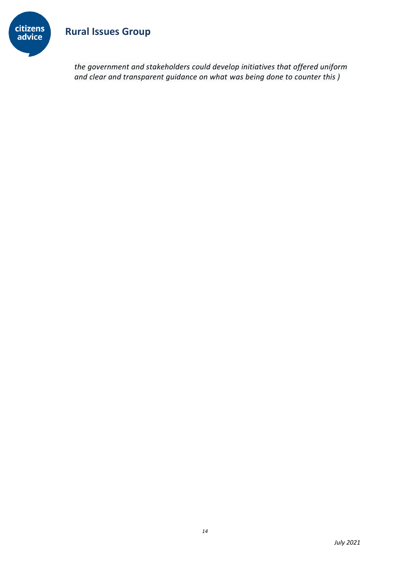

*the government and stakeholders could develop initiatives that offered uniform and clear and transparent guidance on what was being done to counter this )*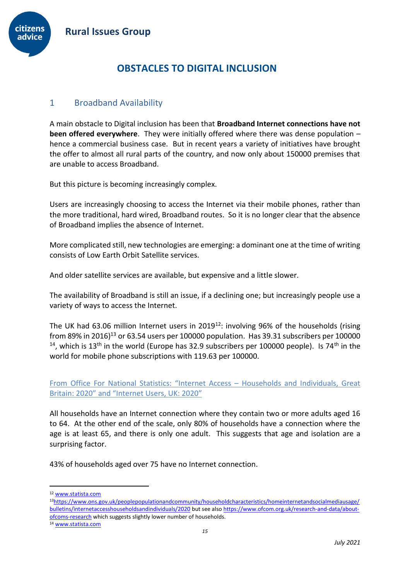

# **OBSTACLES TO DIGITAL INCLUSION**

## <span id="page-14-1"></span><span id="page-14-0"></span>1 Broadband Availability

A main obstacle to Digital inclusion has been that **Broadband Internet connections have not been offered everywhere**. They were initially offered where there was dense population – hence a commercial business case. But in recent years a variety of initiatives have brought the offer to almost all rural parts of the country, and now only about 150000 premises that are unable to access Broadband.

But this picture is becoming increasingly complex.

Users are increasingly choosing to access the Internet via their mobile phones, rather than the more traditional, hard wired, Broadband routes. So it is no longer clear that the absence of Broadband implies the absence of Internet.

More complicated still, new technologies are emerging: a dominant one at the time of writing consists of Low Earth Orbit Satellite services.

And older satellite services are available, but expensive and a little slower.

The availability of Broadband is still an issue, if a declining one; but increasingly people use a variety of ways to access the Internet.

The UK had 63.06 million Internet users in 2019<sup>12</sup>: involving 96% of the households (rising from 89% in 2016)<sup>13</sup> or 63.54 users per 100000 population. Has 39.31 subscribers per 100000  $14$ , which is 13<sup>th</sup> in the world (Europe has 32.9 subscribers per 100000 people). Is 74<sup>th</sup> in the world for mobile phone subscriptions with 119.63 per 100000.

<span id="page-14-2"></span>From Office For National Statistics: "Internet Access – Households and Individuals, Great Britain: 2020" and "Internet Users, UK: 2020"

All households have an Internet connection where they contain two or more adults aged 16 to 64. At the other end of the scale, only 80% of households have a connection where the age is at least 65, and there is only one adult. This suggests that age and isolation are a surprising factor.

43% of households aged over 75 have no Internet connection.

<sup>12</sup> [www.statista.com](http://www.statista.com/)

<sup>13</sup>[https://www.ons.gov.uk/peoplepopulationandcommunity/householdcharacteristics/homeinternetandsocialmediausage/](https://www.ons.gov.uk/peoplepopulationandcommunity/householdcharacteristics/homeinternetandsocialmediausage/bulletins/internetaccesshouseholdsandindividuals/2020) [bulletins/internetaccesshouseholdsandindividuals/2020](https://www.ons.gov.uk/peoplepopulationandcommunity/householdcharacteristics/homeinternetandsocialmediausage/bulletins/internetaccesshouseholdsandindividuals/2020) but see als[o https://www.ofcom.org.uk/research-and-data/about](https://www.ofcom.org.uk/research-and-data/about-ofcoms-research)[ofcoms-research](https://www.ofcom.org.uk/research-and-data/about-ofcoms-research) which suggests slightly lower number of households.

<sup>14</sup> [www.statista.com](http://www.statista.com/)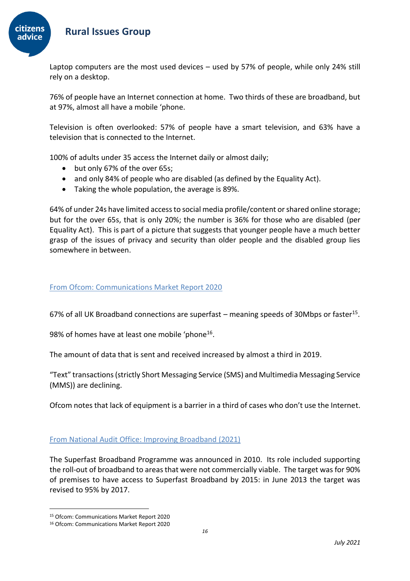

Laptop computers are the most used devices – used by 57% of people, while only 24% still rely on a desktop.

76% of people have an Internet connection at home. Two thirds of these are broadband, but at 97%, almost all have a mobile 'phone.

Television is often overlooked: 57% of people have a smart television, and 63% have a television that is connected to the Internet.

100% of adults under 35 access the Internet daily or almost daily;

- but only 67% of the over 65s;
- and only 84% of people who are disabled (as defined by the Equality Act).
- Taking the whole population, the average is 89%.

64% of under 24s have limited access to social media profile/content or shared online storage; but for the over 65s, that is only 20%; the number is 36% for those who are disabled (per Equality Act). This is part of a picture that suggests that younger people have a much better grasp of the issues of privacy and security than older people and the disabled group lies somewhere in between.

#### <span id="page-15-0"></span>From Ofcom: Communications Market Report 2020

67% of all UK Broadband connections are superfast  $-$  meaning speeds of 30Mbps or faster<sup>15</sup>.

98% of homes have at least one mobile 'phone<sup>16</sup>.

The amount of data that is sent and received increased by almost a third in 2019.

"Text" transactions (strictly Short Messaging Service (SMS) and Multimedia Messaging Service (MMS)) are declining.

Ofcom notes that lack of equipment is a barrier in a third of cases who don't use the Internet.

#### <span id="page-15-1"></span>From National Audit Office: Improving Broadband (2021)

The Superfast Broadband Programme was announced in 2010. Its role included supporting the roll-out of broadband to areas that were not commercially viable. The target was for 90% of premises to have access to Superfast Broadband by 2015: in June 2013 the target was revised to 95% by 2017.

<sup>15</sup> Ofcom: Communications Market Report 2020

<sup>16</sup> Ofcom: Communications Market Report 2020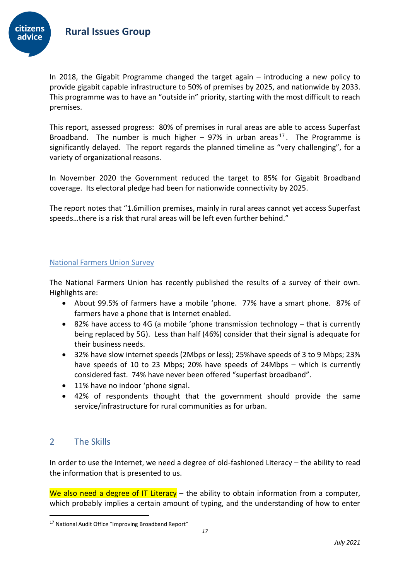citizens

In 2018, the Gigabit Programme changed the target again – introducing a new policy to provide gigabit capable infrastructure to 50% of premises by 2025, and nationwide by 2033. This programme was to have an "outside in" priority, starting with the most difficult to reach premises.

This report, assessed progress: 80% of premises in rural areas are able to access Superfast Broadband. The number is much higher  $-$  97% in urban areas<sup>17</sup>. The Programme is significantly delayed. The report regards the planned timeline as "very challenging", for a variety of organizational reasons.

In November 2020 the Government reduced the target to 85% for Gigabit Broadband coverage. Its electoral pledge had been for nationwide connectivity by 2025.

The report notes that "1.6million premises, mainly in rural areas cannot yet access Superfast speeds…there is a risk that rural areas will be left even further behind."

#### <span id="page-16-0"></span>National Farmers Union Survey

The National Farmers Union has recently published the results of a survey of their own. Highlights are:

- About 99.5% of farmers have a mobile 'phone. 77% have a smart phone. 87% of farmers have a phone that is Internet enabled.
- 82% have access to 4G (a mobile 'phone transmission technology that is currently being replaced by 5G). Less than half (46%) consider that their signal is adequate for their business needs.
- 32% have slow internet speeds (2Mbps or less); 25%have speeds of 3 to 9 Mbps; 23% have speeds of 10 to 23 Mbps; 20% have speeds of 24Mbps – which is currently considered fast. 74% have never been offered "superfast broadband".
- 11% have no indoor 'phone signal.
- 42% of respondents thought that the government should provide the same service/infrastructure for rural communities as for urban.

## <span id="page-16-1"></span>2 The Skills

In order to use the Internet, we need a degree of old-fashioned Literacy – the ability to read the information that is presented to us.

We also need a degree of IT Literacy  $-$  the ability to obtain information from a computer, which probably implies a certain amount of typing, and the understanding of how to enter

<sup>&</sup>lt;sup>17</sup> National Audit Office "Improving Broadband Report"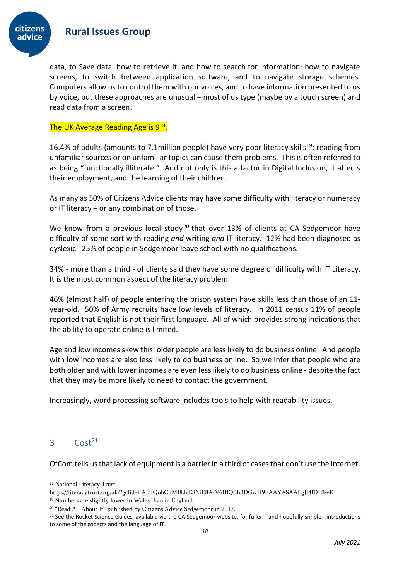

data, to Save data, how to retrieve it, and how to search for information; how to navigate screens, to switch between application software, and to navigate storage schemes. Computers allow us to control them with our voices, and to have information presented to us by voice, but these approaches are unusual – most of us type (maybe by a touch screen) and read data from a screen.

#### The UK Average Reading Age is 9<sup>18</sup>.

16.4% of adults (amounts to 7.1 million people) have very poor literacy skills<sup>19</sup>: reading from unfamiliar sources or on unfamiliar topics can cause them problems. This is often referred to as being "functionally illiterate." And not only is this a factor in Digital Inclusion, it affects their employment, and the learning of their children.

As many as 50% of Citizens Advice clients may have some difficulty with literacy or numeracy or IT literacy – or any combination of those.

We know from a previous local study<sup>20</sup> that over 13% of clients at CA Sedgemoor have difficulty of some sort with reading *and* writing *and* IT literacy. 12% had been diagnosed as dyslexic. 25% of people in Sedgemoor leave school with no qualifications.

34% - more than a third - of clients said they have some degree of difficulty with IT Literacy. It is the most common aspect of the literacy problem.

46% (almost half) of people entering the prison system have skills less than those of an 11 year-old. 50% of Army recruits have low levels of literacy. In 2011 census 11% of people reported that English is not their first language. All of which provides strong indications that the ability to operate online is limited.

Age and low incomes skew this: older people are less likely to do business online. And people with low incomes are also less likely to do business online. So we infer that people who are both older and with lower incomes are even less likely to do business online - despite the fact that they may be more likely to need to contact the government.

Increasingly, word processing software includes tools to help with readability issues.

## <span id="page-17-0"></span> $3$  Cost<sup>21</sup>

OfCom tells us that lack of equipment is a barrier in a third of cases that don't use the Internet.

<sup>18</sup> National Literacy Trust.

https://literacytrust.org.uk/?gclid=EAIaIQobChMI8deE8NiE8AIV6IBQBh3DGwH9EAAYASAAEgJJ4fD\_BwE

<sup>19</sup> Numbers are slightly lower in Wales than in England.

<sup>&</sup>lt;sup>20</sup> "Read All About It" published by Citizens Advice Sedgemoor in 2017.

 $21$  See the Rocket Science Guides, available via the CA Sedgemoor website, for fuller – and hopefully simple - introductions to some of the aspects and the language of IT.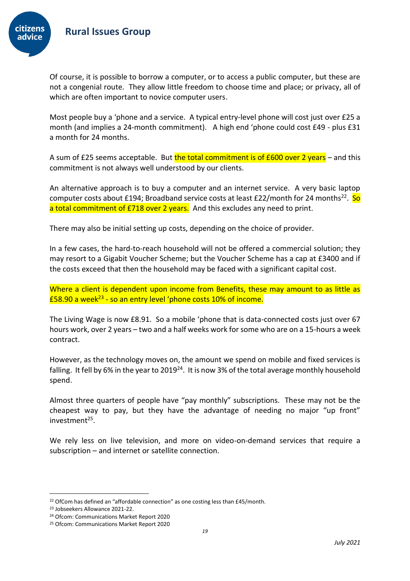

citizens advice



Most people buy a 'phone and a service. A typical entry-level phone will cost just over £25 a month (and implies a 24-month commitment). A high end 'phone could cost £49 - plus £31 a month for 24 months.

A sum of £25 seems acceptable. But the total commitment is of  $£600$  over 2 years – and this commitment is not always well understood by our clients.

An alternative approach is to buy a computer and an internet service. A very basic laptop computer costs about £194; Broadband service costs at least £22/month for 24 months<sup>22</sup>. So a total commitment of £718 over 2 years. And this excludes any need to print.

There may also be initial setting up costs, depending on the choice of provider.

In a few cases, the hard-to-reach household will not be offered a commercial solution; they may resort to a Gigabit Voucher Scheme; but the Voucher Scheme has a cap at £3400 and if the costs exceed that then the household may be faced with a significant capital cost.

Where a client is dependent upon income from Benefits, these may amount to as little as £58.90 a week<sup>23</sup> - so an entry level 'phone costs 10% of income.

The Living Wage is now £8.91. So a mobile 'phone that is data-connected costs just over 67 hours work, over 2 years – two and a half weeks work for some who are on a 15-hours a week contract.

However, as the technology moves on, the amount we spend on mobile and fixed services is falling. It fell by 6% in the year to 2019<sup>24</sup>. It is now 3% of the total average monthly household spend.

Almost three quarters of people have "pay monthly" subscriptions. These may not be the cheapest way to pay, but they have the advantage of needing no major "up front" investment<sup>25</sup>.

We rely less on live television, and more on video-on-demand services that require a subscription – and internet or satellite connection.

<sup>&</sup>lt;sup>22</sup> OfCom has defined an "affordable connection" as one costing less than £45/month.

<sup>23</sup> Jobseekers Allowance 2021-22.

<sup>24</sup> Ofcom: Communications Market Report 2020

<sup>25</sup> Ofcom: Communications Market Report 2020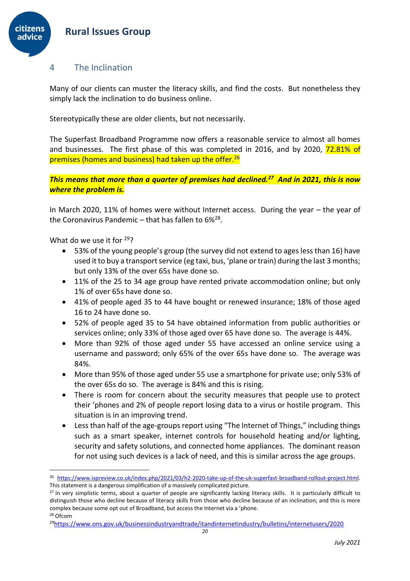#### <span id="page-19-0"></span>4 The Inclination

citizens advice

> Many of our clients can muster the literacy skills, and find the costs. But nonetheless they simply lack the inclination to do business online.

Stereotypically these are older clients, but not necessarily.

The Superfast Broadband Programme now offers a reasonable service to almost all homes and businesses. The first phase of this was completed in 2016, and by 2020, 72.81% of premises (homes and business) had taken up the offer.<sup>26</sup>

*This means that more than a quarter of premises had declined.<sup>27</sup> And in 2021, this is now where the problem is.*

In March 2020, 11% of homes were without Internet access. During the year – the year of the Coronavirus Pandemic – that has fallen to  $6\%^{28}.$ 

What do we use it for <sup>29</sup>?

- 53% of the young people's group (the survey did not extend to ages less than 16) have used it to buy a transport service (eg taxi, bus, 'plane or train) during the last 3 months; but only 13% of the over 65s have done so.
- 11% of the 25 to 34 age group have rented private accommodation online; but only 1% of over 65s have done so.
- 41% of people aged 35 to 44 have bought or renewed insurance; 18% of those aged 16 to 24 have done so.
- 52% of people aged 35 to 54 have obtained information from public authorities or services online; only 33% of those aged over 65 have done so. The average is 44%.
- More than 92% of those aged under 55 have accessed an online service using a username and password; only 65% of the over 65s have done so. The average was 84%.
- More than 95% of those aged under 55 use a smartphone for private use; only 53% of the over 65s do so. The average is 84% and this is rising.
- There is room for concern about the security measures that people use to protect their 'phones and 2% of people report losing data to a virus or hostile program. This situation is in an improving trend.
- Less than half of the age-groups report using "The Internet of Things," including things such as a smart speaker, internet controls for household heating and/or lighting, security and safety solutions, and connected home appliances. The dominant reason for not using such devices is a lack of need, and this is similar across the age groups.

<sup>28</sup> Ofcom

<sup>26</sup> [https://www.ispreview.co.uk/index.php/2021/03/h2-2020-take-up-of-the-uk-superfast-broadband-rollout-project.html.](https://www.ispreview.co.uk/index.php/2021/03/h2-2020-take-up-of-the-uk-superfast-broadband-rollout-project.html) This statement is a dangerous simplification of a massively complicated picture.

<sup>&</sup>lt;sup>27</sup> In very simplistic terms, about a quarter of people are significantly lacking literacy skills. It is particularly difficult to distinguish those who decline because of literacy skills from those who decline because of an inclination; and this is more complex because some opt out of Broadband, but access the Internet via a 'phone.

<sup>29</sup><https://www.ons.gov.uk/businessindustryandtrade/itandinternetindustry/bulletins/internetusers/2020>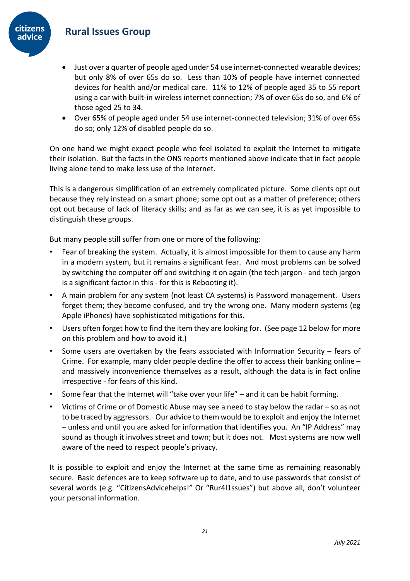

- Just over a quarter of people aged under 54 use internet-connected wearable devices; but only 8% of over 65s do so. Less than 10% of people have internet connected devices for health and/or medical care. 11% to 12% of people aged 35 to 55 report using a car with built-in wireless internet connection; 7% of over 65s do so, and 6% of those aged 25 to 34.
- Over 65% of people aged under 54 use internet-connected television; 31% of over 65s do so; only 12% of disabled people do so.

On one hand we might expect people who feel isolated to exploit the Internet to mitigate their isolation. But the facts in the ONS reports mentioned above indicate that in fact people living alone tend to make less use of the Internet.

This is a dangerous simplification of an extremely complicated picture. Some clients opt out because they rely instead on a smart phone; some opt out as a matter of preference; others opt out because of lack of literacy skills; and as far as we can see, it is as yet impossible to distinguish these groups.

But many people still suffer from one or more of the following:

- Fear of breaking the system. Actually, it is almost impossible for them to cause any harm in a modern system, but it remains a significant fear. And most problems can be solved by switching the computer off and switching it on again (the tech jargon - and tech jargon is a significant factor in this - for this is Rebooting it).
- A main problem for any system (not least CA systems) is Password management. Users forget them; they become confused, and try the wrong one. Many modern systems (eg Apple iPhones) have sophisticated mitigations for this.
- Users often forget how to find the item they are looking for. (See page 12 below for more on this problem and how to avoid it.)
- Some users are overtaken by the fears associated with Information Security  $-$  fears of Crime. For example, many older people decline the offer to access their banking online – and massively inconvenience themselves as a result, although the data is in fact online irrespective - for fears of this kind.
- Some fear that the Internet will "take over your life" and it can be habit forming.
- Victims of Crime or of Domestic Abuse may see a need to stay below the radar so as not to be traced by aggressors. Our advice to them would be to exploit and enjoy the Internet – unless and until you are asked for information that identifies you. An "IP Address" may sound as though it involves street and town; but it does not. Most systems are now well aware of the need to respect people's privacy.

It is possible to exploit and enjoy the Internet at the same time as remaining reasonably secure. Basic defences are to keep software up to date, and to use passwords that consist of several words (e.g. "CitizensAdvicehelps!" Or "Rur4l1ssues") but above all, don't volunteer your personal information.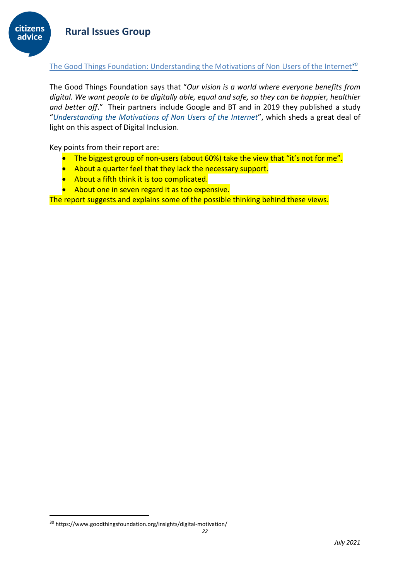

#### <span id="page-21-0"></span>The Good Things Foundation: Understanding the Motivations of Non Users of the Internet*<sup>30</sup>*

The Good Things Foundation says that "*Our vision is a world where everyone benefits from digital. We want people to be digitally able, equal and safe, so they can be happier, healthier and better off*." Their partners include Google and BT and in 2019 they published a study "*Understanding the Motivations of Non Users of the Internet*", which sheds a great deal of light on this aspect of Digital Inclusion.

Key points from their report are:

- The biggest group of non-users (about 60%) take the view that "it's not for me".
- About a quarter feel that they lack the necessary support.
- About a fifth think it is too complicated.
- About one in seven regard it as too expensive.

The report suggests and explains some of the possible thinking behind these views.

<sup>30</sup> https://www.goodthingsfoundation.org/insights/digital-motivation/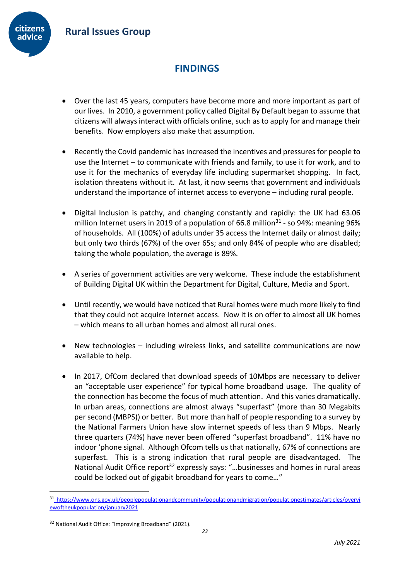

# **FINDINGS**

- <span id="page-22-0"></span>• Over the last 45 years, computers have become more and more important as part of our lives. In 2010, a government policy called Digital By Default began to assume that citizens will always interact with officials online, such as to apply for and manage their benefits. Now employers also make that assumption.
- Recently the Covid pandemic has increased the incentives and pressures for people to use the Internet – to communicate with friends and family, to use it for work, and to use it for the mechanics of everyday life including supermarket shopping. In fact, isolation threatens without it. At last, it now seems that government and individuals understand the importance of internet access to everyone – including rural people.
- Digital Inclusion is patchy, and changing constantly and rapidly: the UK had 63.06 million Internet users in 2019 of a population of 66.8 million $31$  - so 94%: meaning 96% of households. All (100%) of adults under 35 access the Internet daily or almost daily; but only two thirds (67%) of the over 65s; and only 84% of people who are disabled; taking the whole population, the average is 89%.
- A series of government activities are very welcome. These include the establishment of Building Digital UK within the Department for Digital, Culture, Media and Sport.
- Until recently, we would have noticed that Rural homes were much more likely to find that they could not acquire Internet access. Now it is on offer to almost all UK homes – which means to all urban homes and almost all rural ones.
- New technologies including wireless links, and satellite communications are now available to help.
- In 2017, OfCom declared that download speeds of 10Mbps are necessary to deliver an "acceptable user experience" for typical home broadband usage. The quality of the connection has become the focus of much attention. And this varies dramatically. In urban areas, connections are almost always "superfast" (more than 30 Megabits per second (MBPS)) or better. But more than half of people responding to a survey by the National Farmers Union have slow internet speeds of less than 9 Mbps. Nearly three quarters (74%) have never been offered "superfast broadband". 11% have no indoor 'phone signal. Although Ofcom tells us that nationally, 67% of connections are superfast. This is a strong indication that rural people are disadvantaged. The National Audit Office report<sup>32</sup> expressly says: "...businesses and homes in rural areas could be locked out of gigabit broadband for years to come…"

<sup>31</sup> [https://www.ons.gov.uk/peoplepopulationandcommunity/populationandmigration/populationestimates/articles/overvi](https://www.ons.gov.uk/peoplepopulationandcommunity/populationandmigration/populationestimates/articles/overviewoftheukpopulation/january2021) [ewoftheukpopulation/january2021](https://www.ons.gov.uk/peoplepopulationandcommunity/populationandmigration/populationestimates/articles/overviewoftheukpopulation/january2021)

<sup>&</sup>lt;sup>32</sup> National Audit Office: "Improving Broadband" (2021).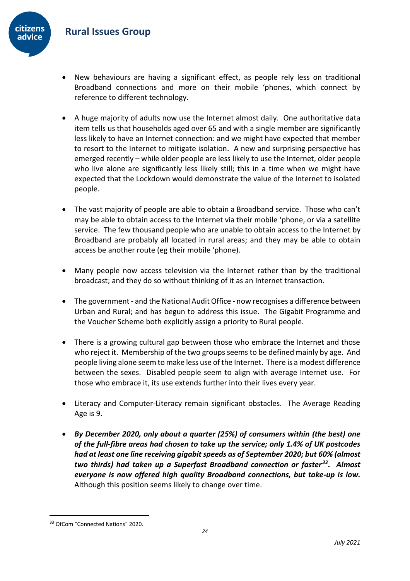

- New behaviours are having a significant effect, as people rely less on traditional Broadband connections and more on their mobile 'phones, which connect by reference to different technology.
- A huge majority of adults now use the Internet almost daily. One authoritative data item tells us that households aged over 65 and with a single member are significantly less likely to have an Internet connection: and we might have expected that member to resort to the Internet to mitigate isolation. A new and surprising perspective has emerged recently – while older people are less likely to use the Internet, older people who live alone are significantly less likely still; this in a time when we might have expected that the Lockdown would demonstrate the value of the Internet to isolated people.
- The vast majority of people are able to obtain a Broadband service. Those who can't may be able to obtain access to the Internet via their mobile 'phone, or via a satellite service. The few thousand people who are unable to obtain access to the Internet by Broadband are probably all located in rural areas; and they may be able to obtain access be another route (eg their mobile 'phone).
- Many people now access television via the Internet rather than by the traditional broadcast; and they do so without thinking of it as an Internet transaction.
- The government and the National Audit Office now recognises a difference between Urban and Rural; and has begun to address this issue. The Gigabit Programme and the Voucher Scheme both explicitly assign a priority to Rural people.
- There is a growing cultural gap between those who embrace the Internet and those who reject it. Membership of the two groups seems to be defined mainly by age. And people living alone seem to make less use of the Internet. There is a modest difference between the sexes. Disabled people seem to align with average Internet use. For those who embrace it, its use extends further into their lives every year.
- Literacy and Computer-Literacy remain significant obstacles. The Average Reading Age is 9.
- *By December 2020, only about a quarter (25%) of consumers within (the best) one of the full-fibre areas had chosen to take up the service; only 1.4% of UK postcodes had at least one line receiving gigabit speeds as of September 2020; but 60% (almost two thirds) had taken up a Superfast Broadband connection or faster<sup>33</sup>. Almost everyone is now offered high quality Broadband connections, but take-up is low.* Although this position seems likely to change over time.

<sup>33</sup> OfCom "Connected Nations" 2020.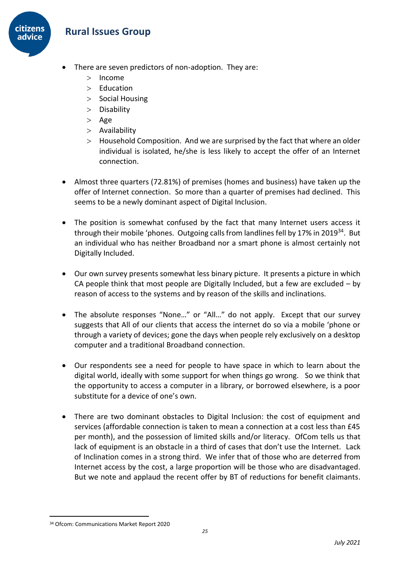

- There are seven predictors of non-adoption. They are:
	- $>$  Income
	- $>$  Education
	- $>$  Social Housing
	- > Disability
	- $>$  Age
	- Availability
	- Household Composition. And we are surprised by the fact that where an older individual is isolated, he/she is less likely to accept the offer of an Internet connection.
- Almost three quarters (72.81%) of premises (homes and business) have taken up the offer of Internet connection. So more than a quarter of premises had declined. This seems to be a newly dominant aspect of Digital Inclusion.
- The position is somewhat confused by the fact that many Internet users access it through their mobile 'phones. Outgoing calls from landlines fell by 17% in 2019<sup>34</sup>. But an individual who has neither Broadband nor a smart phone is almost certainly not Digitally Included.
- Our own survey presents somewhat less binary picture. It presents a picture in which CA people think that most people are Digitally Included, but a few are excluded – by reason of access to the systems and by reason of the skills and inclinations.
- The absolute responses "None…" or "All…" do not apply. Except that our survey suggests that All of our clients that access the internet do so via a mobile 'phone or through a variety of devices; gone the days when people rely exclusively on a desktop computer and a traditional Broadband connection.
- Our respondents see a need for people to have space in which to learn about the digital world, ideally with some support for when things go wrong. So we think that the opportunity to access a computer in a library, or borrowed elsewhere, is a poor substitute for a device of one's own.
- There are two dominant obstacles to Digital Inclusion: the cost of equipment and services (affordable connection is taken to mean a connection at a cost less than £45 per month), and the possession of limited skills and/or literacy. OfCom tells us that lack of equipment is an obstacle in a third of cases that don't use the Internet. Lack of Inclination comes in a strong third. We infer that of those who are deterred from Internet access by the cost, a large proportion will be those who are disadvantaged. But we note and applaud the recent offer by BT of reductions for benefit claimants.

<sup>34</sup> Ofcom: Communications Market Report 2020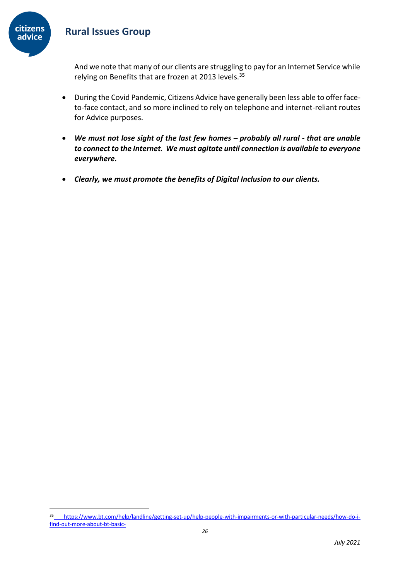

And we note that many of our clients are struggling to pay for an Internet Service while relying on Benefits that are frozen at 2013 levels.<sup>35</sup>

- During the Covid Pandemic, Citizens Advice have generally been less able to offer faceto-face contact, and so more inclined to rely on telephone and internet-reliant routes for Advice purposes.
- *We must not lose sight of the last few homes – probably all rural - that are unable to connect to the Internet. We must agitate until connection is available to everyone everywhere.*
- *Clearly, we must promote the benefits of Digital Inclusion to our clients.*

<sup>35</sup> [https://www.bt.com/help/landline/getting-set-up/help-people-with-impairments-or-with-particular-needs/how-do-i](https://www.bt.com/help/landline/getting-set-up/help-people-with-impairments-or-with-particular-needs/how-do-i-find-out-more-about-bt-basic-)[find-out-more-about-bt-basic-](https://www.bt.com/help/landline/getting-set-up/help-people-with-impairments-or-with-particular-needs/how-do-i-find-out-more-about-bt-basic-)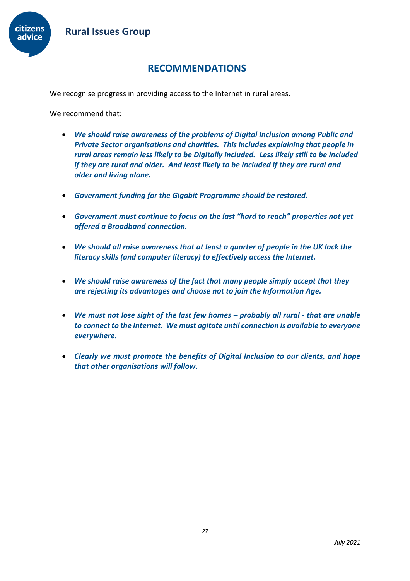

# **RECOMMENDATIONS**

<span id="page-26-0"></span>We recognise progress in providing access to the Internet in rural areas.

We recommend that:

- *We should raise awareness of the problems of Digital Inclusion among Public and Private Sector organisations and charities. This includes explaining that people in rural areas remain less likely to be Digitally Included. Less likely still to be included if they are rural and older. And least likely to be Included if they are rural and older and living alone.*
- *Government funding for the Gigabit Programme should be restored.*
- *Government must continue to focus on the last "hard to reach" properties not yet offered a Broadband connection.*
- *We should all raise awareness that at least a quarter of people in the UK lack the literacy skills (and computer literacy) to effectively access the Internet.*
- *We should raise awareness of the fact that many people simply accept that they are rejecting its advantages and choose not to join the Information Age.*
- *We must not lose sight of the last few homes – probably all rural - that are unable to connect to the Internet. We must agitate until connection is available to everyone everywhere.*
- *Clearly we must promote the benefits of Digital Inclusion to our clients, and hope that other organisations will follow.*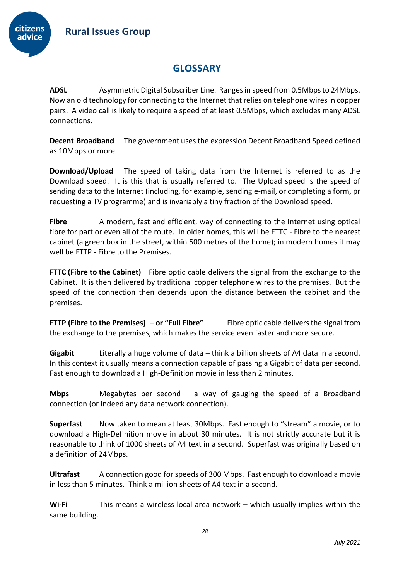

# **GLOSSARY**

<span id="page-27-0"></span>**ADSL** Asymmetric Digital Subscriber Line. Ranges in speed from 0.5Mbps to 24Mbps. Now an old technology for connecting to the Internet that relies on telephone wires in copper pairs. A video call is likely to require a speed of at least 0.5Mbps, which excludes many ADSL connections.

**Decent Broadband** The government uses the expression Decent Broadband Speed defined as 10Mbps or more.

**Download/Upload** The speed of taking data from the Internet is referred to as the Download speed. It is this that is usually referred to. The Upload speed is the speed of sending data to the Internet (including, for example, sending e-mail, or completing a form, pr requesting a TV programme) and is invariably a tiny fraction of the Download speed.

Fibre A modern, fast and efficient, way of connecting to the Internet using optical fibre for part or even all of the route. In older homes, this will be FTTC - Fibre to the nearest cabinet (a green box in the street, within 500 metres of the home); in modern homes it may well be FTTP - Fibre to the Premises.

**FTTC (Fibre to the Cabinet)** Fibre optic cable delivers the signal from the exchange to the Cabinet. It is then delivered by traditional copper telephone wires to the premises. But the speed of the connection then depends upon the distance between the cabinet and the premises.

**FTTP (Fibre to the Premises) – or "Full Fibre"** Fibre optic cable delivers the signal from the exchange to the premises, which makes the service even faster and more secure.

**Gigabit** Literally a huge volume of data – think a billion sheets of A4 data in a second. In this context it usually means a connection capable of passing a Gigabit of data per second. Fast enough to download a High-Definition movie in less than 2 minutes.

**Mbps** Megabytes per second – a way of gauging the speed of a Broadband connection (or indeed any data network connection).

**Superfast** Now taken to mean at least 30Mbps. Fast enough to "stream" a movie, or to download a High-Definition movie in about 30 minutes. It is not strictly accurate but it is reasonable to think of 1000 sheets of A4 text in a second. Superfast was originally based on a definition of 24Mbps.

**Ultrafast** A connection good for speeds of 300 Mbps. Fast enough to download a movie in less than 5 minutes. Think a million sheets of A4 text in a second.

**Wi-Fi** This means a wireless local area network – which usually implies within the same building.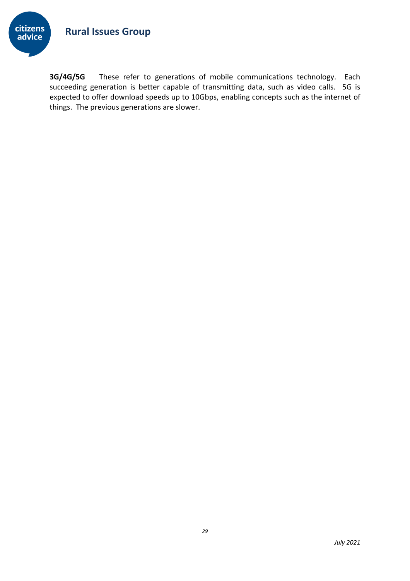

**3G/4G/5G** These refer to generations of mobile communications technology. Each succeeding generation is better capable of transmitting data, such as video calls. 5G is expected to offer download speeds up to 10Gbps, enabling concepts such as the internet of things. The previous generations are slower.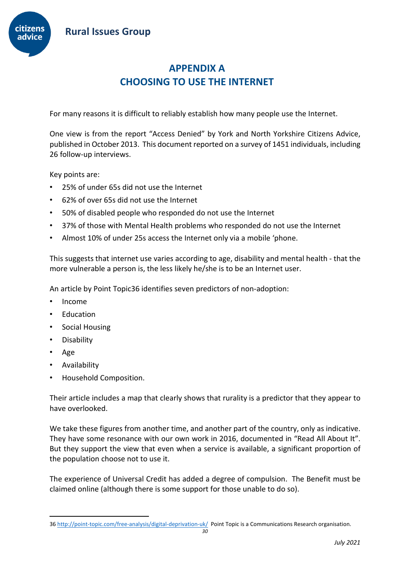

# **APPENDIX A CHOOSING TO USE THE INTERNET**

<span id="page-29-1"></span><span id="page-29-0"></span>For many reasons it is difficult to reliably establish how many people use the Internet.

One view is from the report "Access Denied" by York and North Yorkshire Citizens Advice, published in October 2013. This document reported on a survey of 1451 individuals, including 26 follow-up interviews.

Key points are:

- 25% of under 65s did not use the Internet
- 62% of over 65s did not use the Internet
- 50% of disabled people who responded do not use the Internet
- 37% of those with Mental Health problems who responded do not use the Internet
- Almost 10% of under 25s access the Internet only via a mobile 'phone.

This suggests that internet use varies according to age, disability and mental health - that the more vulnerable a person is, the less likely he/she is to be an Internet user.

An article by Point Topic36 identifies seven predictors of non-adoption:

- Income
- Education
- Social Housing
- Disability
- Age
- Availability
- Household Composition.

Their article includes a map that clearly shows that rurality is a predictor that they appear to have overlooked.

We take these figures from another time, and another part of the country, only as indicative. They have some resonance with our own work in 2016, documented in "Read All About It". But they support the view that even when a service is available, a significant proportion of the population choose not to use it.

The experience of Universal Credit has added a degree of compulsion. The Benefit must be claimed online (although there is some support for those unable to do so).

<sup>36</sup> <http://point-topic.com/free-analysis/digital-deprivation-uk/>Point Topic is a Communications Research organisation.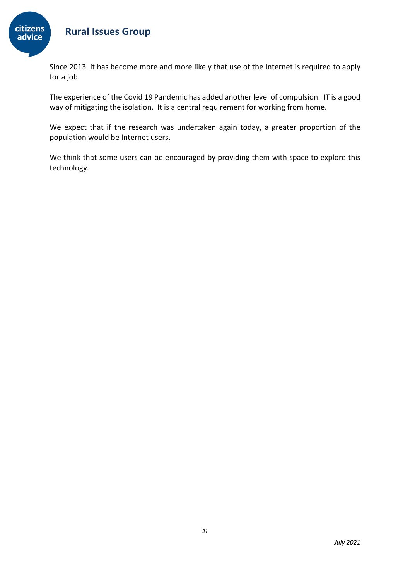

Since 2013, it has become more and more likely that use of the Internet is required to apply for a job.

The experience of the Covid 19 Pandemic has added another level of compulsion. IT is a good way of mitigating the isolation. It is a central requirement for working from home.

We expect that if the research was undertaken again today, a greater proportion of the population would be Internet users.

We think that some users can be encouraged by providing them with space to explore this technology.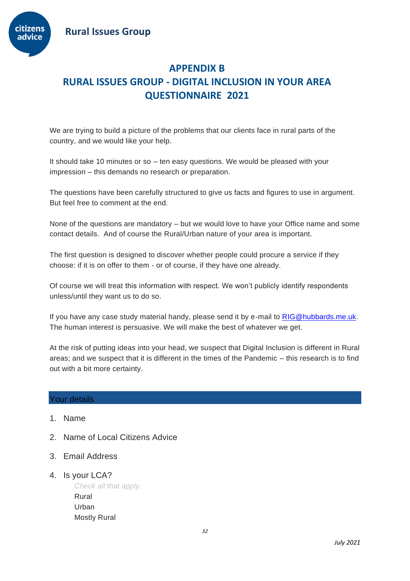

# <span id="page-31-1"></span><span id="page-31-0"></span>**APPENDIX B RURAL ISSUES GROUP - DIGITAL INCLUSION IN YOUR AREA QUESTIONNAIRE 2021**

We are trying to build a picture of the problems that our clients face in rural parts of the country, and we would like your help.

It should take 10 minutes or so – ten easy questions. We would be pleased with your impression – this demands no research or preparation.

The questions have been carefully structured to give us facts and figures to use in argument. But feel free to comment at the end.

None of the questions are mandatory – but we would love to have your Office name and some contact details. And of course the Rural/Urban nature of your area is important.

The first question is designed to discover whether people could procure a service if they choose: if it is on offer to them - or of course, if they have one already.

Of course we will treat this information with respect. We won't publicly identify respondents unless/until they want us to do so.

If you have any case study material handy, please send it by e-mail to [RIG@hubbards.me.uk.](mailto:RIG@hubbards.me.uk) The human interest is persuasive. We will make the best of whatever we get.

At the risk of putting ideas into your head, we suspect that Digital Inclusion is different in Rural areas; and we suspect that it is different in the times of the Pandemic – this research is to find out with a bit more certainty.

#### Your details

- 1. Name
- 2. Name of Local Citizens Advice
- 3. Email Address
- 4. Is your LCA?

*Check all that apply.* Rural Urban Mostly Rural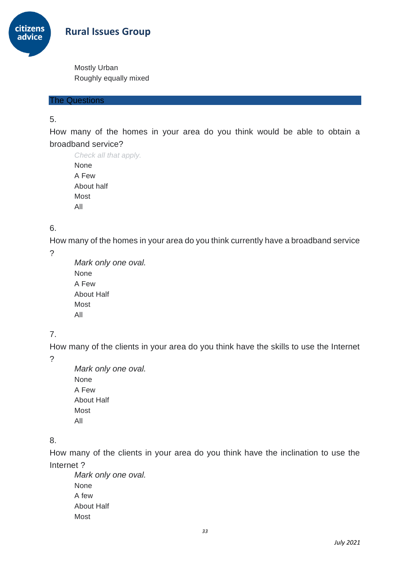citizens advice

 **Rural Issues Group**

Mostly Urban Roughly equally mixed

The Questions

5.

How many of the homes in your area do you think would be able to obtain a broadband service?

*Check all that apply.* None A Few About half Most All

## 6.

How many of the homes in your area do you think currently have a broadband service

?

*Mark only one oval.* None A Few About Half Most All

# 7.

How many of the clients in your area do you think have the skills to use the Internet

?

*Mark only one oval.* None A Few About Half Most All

# 8.

How many of the clients in your area do you think have the inclination to use the Internet ?

*Mark only one oval.* None A few About Half Most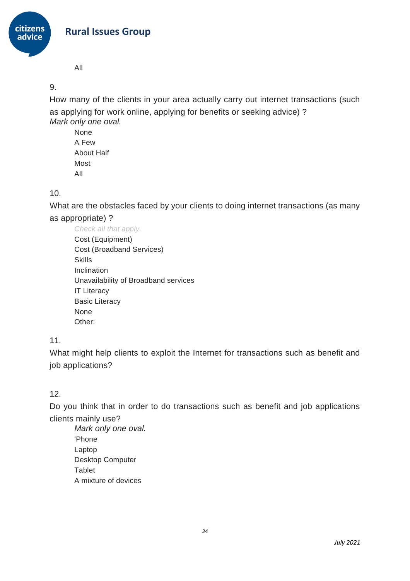

All

## 9.

How many of the clients in your area actually carry out internet transactions (such as applying for work online, applying for benefits or seeking advice) ? *Mark only one oval.*

None A Few About Half Most All

## 10.

What are the obstacles faced by your clients to doing internet transactions (as many as appropriate) ?

*Check all that apply.* Cost (Equipment) Cost (Broadband Services) **Skills** Inclination Unavailability of Broadband services IT Literacy Basic Literacy None Other:

# 11.

What might help clients to exploit the Internet for transactions such as benefit and job applications?

## 12.

Do you think that in order to do transactions such as benefit and job applications clients mainly use?

*Mark only one oval.* 'Phone Laptop Desktop Computer Tablet A mixture of devices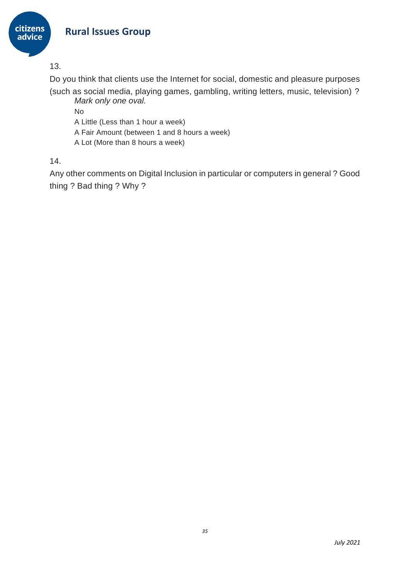

13.

Do you think that clients use the Internet for social, domestic and pleasure purposes (such as social media, playing games, gambling, writing letters, music, television) ?

*Mark only one oval.*

No

A Little (Less than 1 hour a week)

A Fair Amount (between 1 and 8 hours a week)

A Lot (More than 8 hours a week)

14.

Any other comments on Digital Inclusion in particular or computers in general ? Good thing ? Bad thing ? Why ?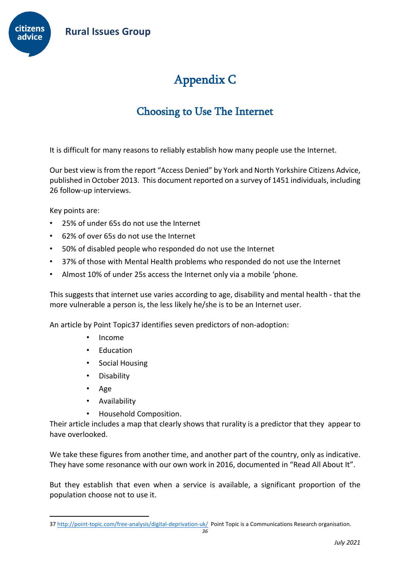

# Appendix C

# Choosing to Use The Internet

<span id="page-35-0"></span>It is difficult for many reasons to reliably establish how many people use the Internet.

Our best view isfrom the report "Access Denied" by York and North Yorkshire Citizens Advice, published in October 2013. This document reported on a survey of 1451 individuals, including 26 follow-up interviews.

Key points are:

- 25% of under 65s do not use the Internet
- 62% of over 65s do not use the Internet
- 50% of disabled people who responded do not use the Internet
- 37% of those with Mental Health problems who responded do not use the Internet
- Almost 10% of under 25s access the Internet only via a mobile 'phone.

This suggests that internet use varies according to age, disability and mental health - that the more vulnerable a person is, the less likely he/she is to be an Internet user.

An article by Point Topic37 identifies seven predictors of non-adoption:

- Income
- Education
- Social Housing
- **Disability**
- Age
- Availability
- Household Composition.

Their article includes a map that clearly shows that rurality is a predictor that they appear to have overlooked.

We take these figures from another time, and another part of the country, only as indicative. They have some resonance with our own work in 2016, documented in "Read All About It".

But they establish that even when a service is available, a significant proportion of the population choose not to use it.

<sup>37</sup> <http://point-topic.com/free-analysis/digital-deprivation-uk/>Point Topic is a Communications Research organisation.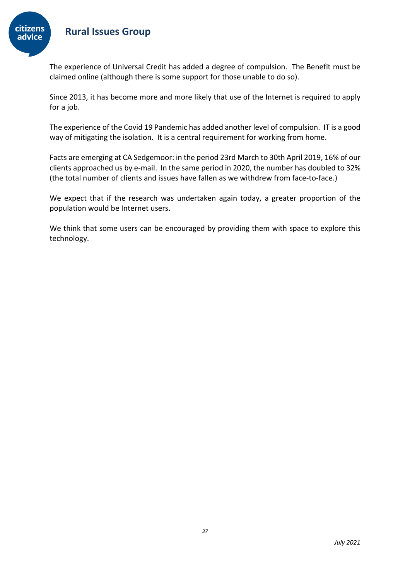

The experience of Universal Credit has added a degree of compulsion. The Benefit must be claimed online (although there is some support for those unable to do so).

Since 2013, it has become more and more likely that use of the Internet is required to apply for a job.

The experience of the Covid 19 Pandemic has added another level of compulsion. IT is a good way of mitigating the isolation. It is a central requirement for working from home.

Facts are emerging at CA Sedgemoor: in the period 23rd March to 30th April 2019, 16% of our clients approached us by e-mail. In the same period in 2020, the number has doubled to 32% (the total number of clients and issues have fallen as we withdrew from face-to-face.)

We expect that if the research was undertaken again today, a greater proportion of the population would be Internet users.

We think that some users can be encouraged by providing them with space to explore this technology.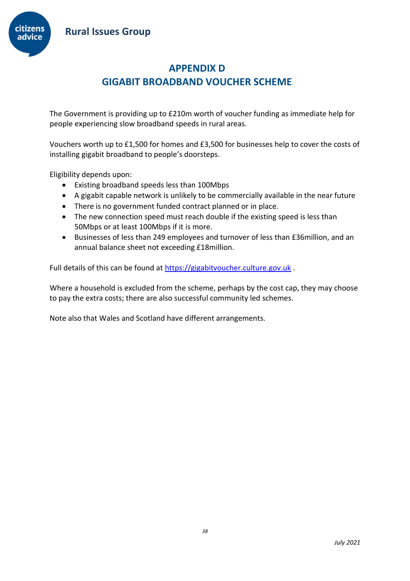

# **APPENDIX D GIGABIT BROADBAND VOUCHER SCHEME**

<span id="page-37-1"></span><span id="page-37-0"></span>The Government is providing up to £210m worth of voucher funding as immediate help for people experiencing slow broadband speeds in rural areas.

Vouchers worth up to £1,500 for homes and £3,500 for businesses help to cover the costs of installing gigabit broadband to people's doorsteps.

Eligibility depends upon:

- Existing broadband speeds less than 100Mbps
- A gigabit capable network is unlikely to be commercially available in the near future
- There is no government funded contract planned or in place.
- The new connection speed must reach double if the existing speed is less than 50Mbps or at least 100Mbps if it is more.
- Businesses of less than 249 employees and turnover of less than £36million, and an annual balance sheet not exceeding £18million.

Full details of this can be found at [https://gigabitvoucher.culture.gov.uk](https://gigabitvoucher.culture.gov.uk/).

Where a household is excluded from the scheme, perhaps by the cost cap, they may choose to pay the extra costs; there are also successful community led schemes.

Note also that Wales and Scotland have different arrangements.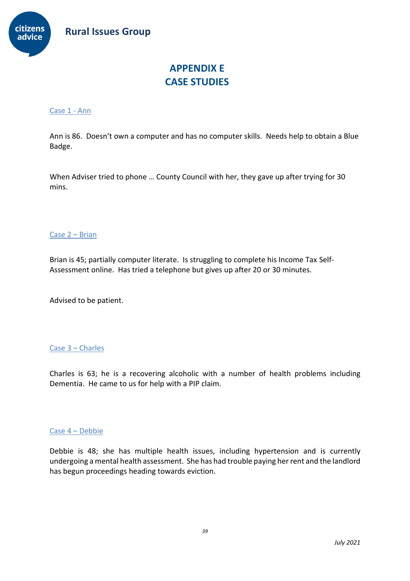

# **APPENDIX E CASE STUDIES**

#### <span id="page-38-2"></span><span id="page-38-1"></span><span id="page-38-0"></span>Case 1 - Ann

Ann is 86. Doesn't own a computer and has no computer skills. Needs help to obtain a Blue Badge.

When Adviser tried to phone … County Council with her, they gave up after trying for 30 mins.

#### <span id="page-38-3"></span>Case 2 – Brian

Brian is 45; partially computer literate. Is struggling to complete his Income Tax Self-Assessment online. Has tried a telephone but gives up after 20 or 30 minutes.

Advised to be patient.

#### <span id="page-38-4"></span>Case 3 – Charles

Charles is 63; he is a recovering alcoholic with a number of health problems including Dementia. He came to us for help with a PIP claim.

#### <span id="page-38-5"></span>Case 4 – Debbie

Debbie is 48; she has multiple health issues, including hypertension and is currently undergoing a mental health assessment. She has had trouble paying her rent and the landlord has begun proceedings heading towards eviction.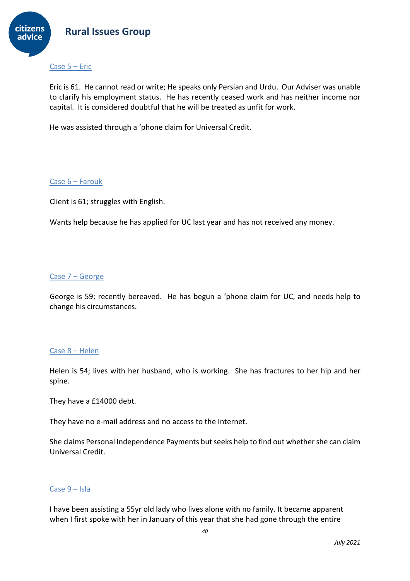

#### <span id="page-39-0"></span>Case 5 – Eric

Eric is 61. He cannot read or write; He speaks only Persian and Urdu. Our Adviser was unable to clarify his employment status. He has recently ceased work and has neither income nor capital. It is considered doubtful that he will be treated as unfit for work.

He was assisted through a 'phone claim for Universal Credit.

#### <span id="page-39-1"></span>Case 6 – Farouk

Client is 61; struggles with English.

Wants help because he has applied for UC last year and has not received any money.

#### <span id="page-39-2"></span>Case 7 – George

George is 59; recently bereaved. He has begun a 'phone claim for UC, and needs help to change his circumstances.

#### <span id="page-39-3"></span>Case 8 – Helen

Helen is 54; lives with her husband, who is working. She has fractures to her hip and her spine.

They have a £14000 debt.

They have no e-mail address and no access to the Internet.

She claims Personal Independence Payments but seeks help to find out whether she can claim Universal Credit.

#### <span id="page-39-4"></span>Case 9 – Isla

I have been assisting a 55yr old lady who lives alone with no family. It became apparent when I first spoke with her in January of this year that she had gone through the entire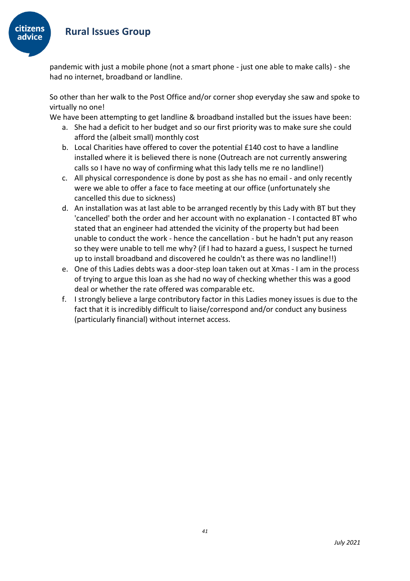

pandemic with just a mobile phone (not a smart phone - just one able to make calls) - she had no internet, broadband or landline.

So other than her walk to the Post Office and/or corner shop everyday she saw and spoke to virtually no one!

We have been attempting to get landline & broadband installed but the issues have been:

- a. She had a deficit to her budget and so our first priority was to make sure she could afford the (albeit small) monthly cost
- b. Local Charities have offered to cover the potential £140 cost to have a landline installed where it is believed there is none (Outreach are not currently answering calls so I have no way of confirming what this lady tells me re no landline!)
- c. All physical correspondence is done by post as she has no email and only recently were we able to offer a face to face meeting at our office (unfortunately she cancelled this due to sickness)
- d. An installation was at last able to be arranged recently by this Lady with BT but they 'cancelled' both the order and her account with no explanation - I contacted BT who stated that an engineer had attended the vicinity of the property but had been unable to conduct the work - hence the cancellation - but he hadn't put any reason so they were unable to tell me why? (if I had to hazard a guess, I suspect he turned up to install broadband and discovered he couldn't as there was no landline!!)
- e. One of this Ladies debts was a door-step loan taken out at Xmas I am in the process of trying to argue this loan as she had no way of checking whether this was a good deal or whether the rate offered was comparable etc.
- f. I strongly believe a large contributory factor in this Ladies money issues is due to the fact that it is incredibly difficult to liaise/correspond and/or conduct any business (particularly financial) without internet access.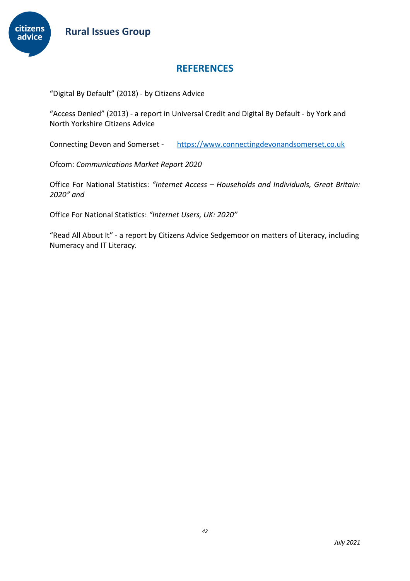

# **REFERENCES**

"Digital By Default" (2018) - by Citizens Advice

"Access Denied" (2013) - a report in Universal Credit and Digital By Default - by York and North Yorkshire Citizens Advice

Connecting Devon and Somerset - [https://www.connectingdevonandsomerset.co.uk](https://www.connectingdevonandsomerset.co.uk/)

Ofcom: *Communications Market Report 2020*

Office For National Statistics: *"Internet Access – Households and Individuals, Great Britain: 2020" and* 

Office For National Statistics: *"Internet Users, UK: 2020"*

"Read All About It" - a report by Citizens Advice Sedgemoor on matters of Literacy, including Numeracy and IT Literacy.